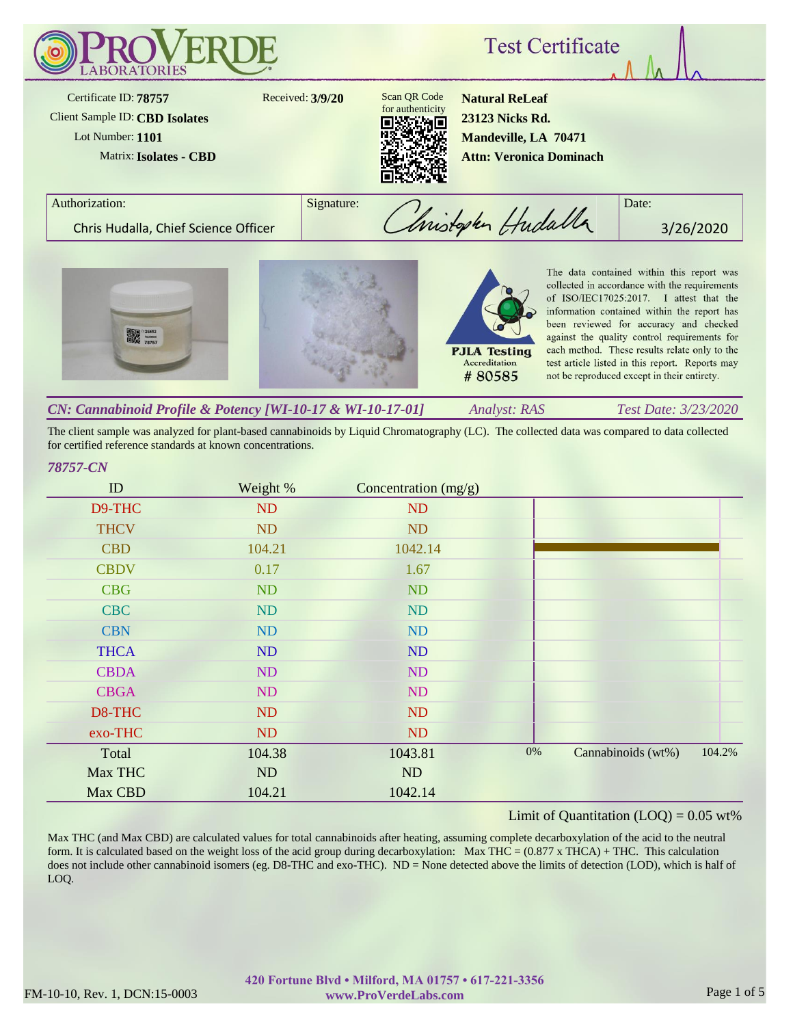

The client sample was analyzed for plant-based cannabinoids by Liquid Chromatography (LC). The collected data was compared to data collected for certified reference standards at known concentrations.

#### *78757-CN*

| ID          | Weight % | Concentration (mg/g) |       |                    |        |
|-------------|----------|----------------------|-------|--------------------|--------|
| D9-THC      | ND       | ND                   |       |                    |        |
| <b>THCV</b> | ND       | ND                   |       |                    |        |
| <b>CBD</b>  | 104.21   | 1042.14              |       |                    |        |
| <b>CBDV</b> | 0.17     | 1.67                 |       |                    |        |
| <b>CBG</b>  | ND       | ND                   |       |                    |        |
| <b>CBC</b>  | ND       | <b>ND</b>            |       |                    |        |
| <b>CBN</b>  | ND       | ND                   |       |                    |        |
| <b>THCA</b> | ND       | ND                   |       |                    |        |
| <b>CBDA</b> | ND       | ND                   |       |                    |        |
| <b>CBGA</b> | ND       | ND                   |       |                    |        |
| D8-THC      | ND       | ND                   |       |                    |        |
| exo-THC     | ND       | ND                   |       |                    |        |
| Total       | 104.38   | 1043.81              | $0\%$ | Cannabinoids (wt%) | 104.2% |
| Max THC     | ND       | ND                   |       |                    |        |
| Max CBD     | 104.21   | 1042.14              |       |                    |        |

## Limit of Quantitation  $(LOQ) = 0.05$  wt%

Max THC (and Max CBD) are calculated values for total cannabinoids after heating, assuming complete decarboxylation of the acid to the neutral form. It is calculated based on the weight loss of the acid group during decarboxylation: Max THC =  $(0.877 \times THCA)$  + THC. This calculation does not include other cannabinoid isomers (eg. D8-THC and exo-THC). ND = None detected above the limits of detection (LOD), which is half of LOQ.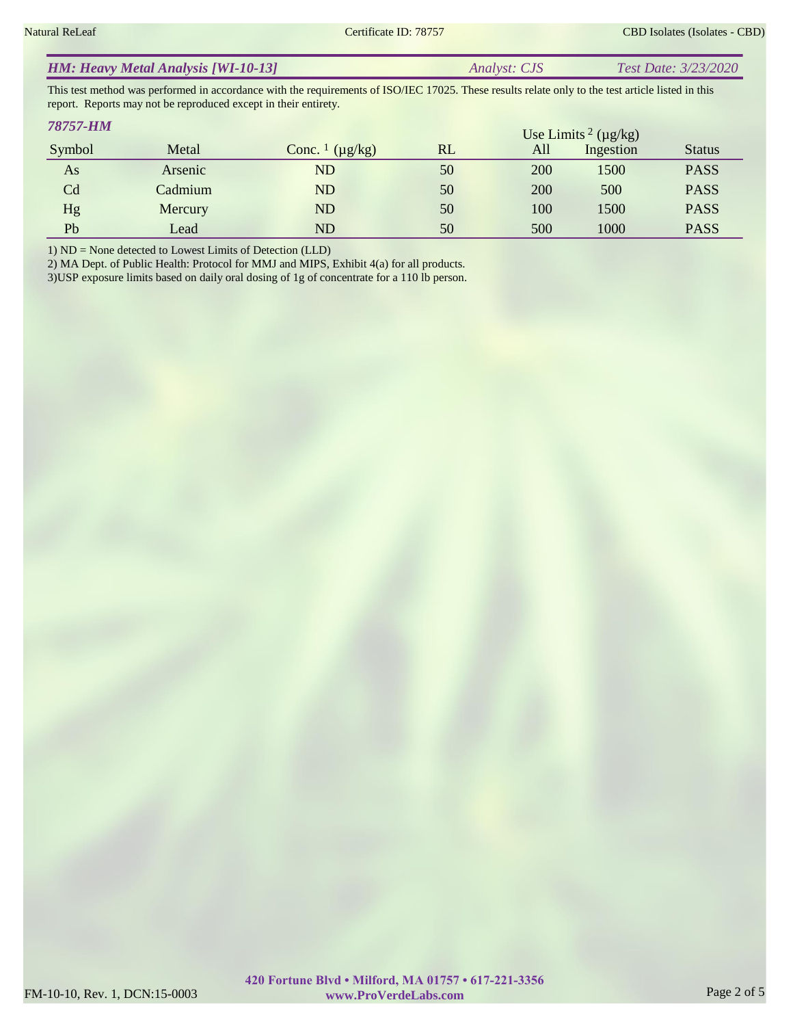|  | <b>HM: Heavy Metal Analysis [WI-10-13]</b> | <i>Analyst: CJS</i> | Test Date: 3/23/2020 |
|--|--------------------------------------------|---------------------|----------------------|
|--|--------------------------------------------|---------------------|----------------------|

This test method was performed in accordance with the requirements of ISO/IEC 17025. These results relate only to the test article listed in this report. Reports may not be reproduced except in their entirety.

| 78757-HM       |         |                                     |    |     | Use Limits <sup>2</sup> ( $\mu$ g/kg) |               |
|----------------|---------|-------------------------------------|----|-----|---------------------------------------|---------------|
| Symbol         | Metal   | Conc. $\frac{1}{\mu}$ ( $\mu$ g/kg) | RL | All | Ingestion                             | <b>Status</b> |
| As             | Arsenic | ${\rm ND}$                          | 50 | 200 | 1500                                  | <b>PASS</b>   |
| C <sub>d</sub> | Cadmium | $\mathop{\rm ND}\nolimits$          | 50 | 200 | 500                                   | <b>PASS</b>   |
| Hg             | Mercury | ${\rm ND}$                          | 50 | 100 | 1500                                  | <b>PASS</b>   |
| Pb             | Lead    | ${\rm ND}$                          | 50 | 500 | 1000                                  | <b>PASS</b>   |

1) ND = None detected to Lowest Limits of Detection (LLD)

2) MA Dept. of Public Health: Protocol for MMJ and MIPS, Exhibit 4(a) for all products.

3)USP exposure limits based on daily oral dosing of 1g of concentrate for a 110 lb person.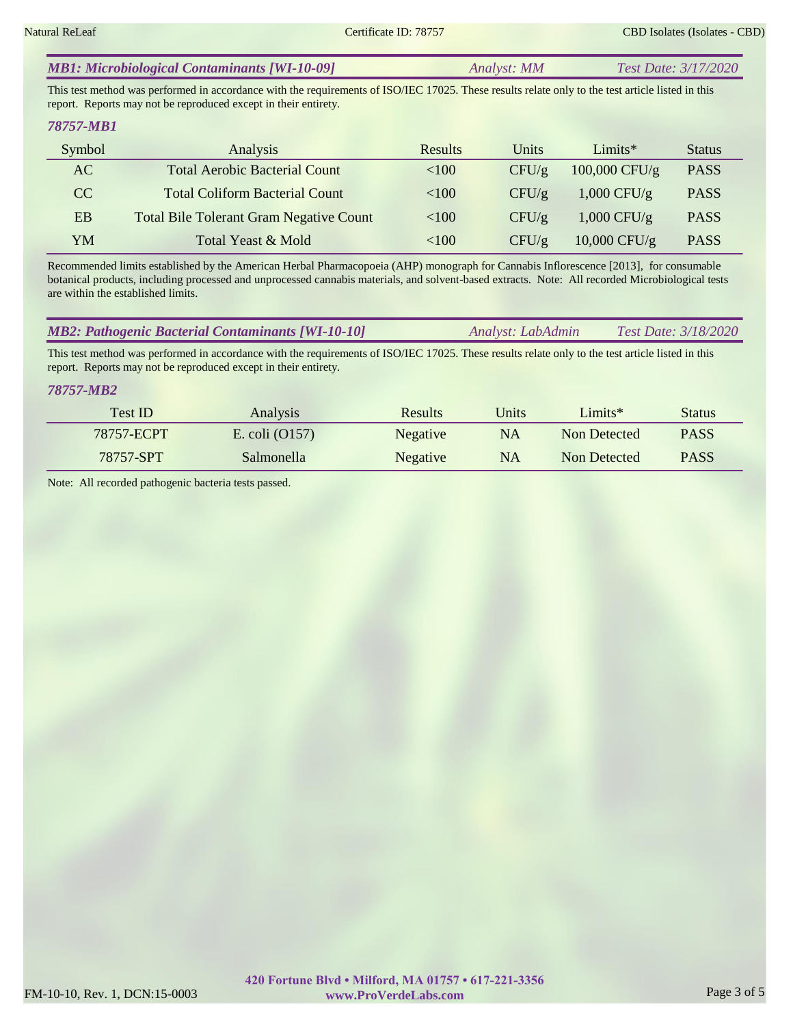| <b>MB1: Microbiological Contaminants [WI-10-09]</b> | <b>Test Date: 3/17/2020</b><br>Analyst: MM |  |
|-----------------------------------------------------|--------------------------------------------|--|
|-----------------------------------------------------|--------------------------------------------|--|

This test method was performed in accordance with the requirements of ISO/IEC 17025. These results relate only to the test article listed in this report. Reports may not be reproduced except in their entirety.

#### *78757-MB1*

| Symbol    | Analysis                                       | <b>Results</b> | Units | $Limits*$       | <b>Status</b> |
|-----------|------------------------------------------------|----------------|-------|-----------------|---------------|
| AC        | <b>Total Aerobic Bacterial Count</b>           | < 100          | CFU/g | $100,000$ CFU/g | <b>PASS</b>   |
| CC        | <b>Total Coliform Bacterial Count</b>          | < 100          | CFU/g | $1,000$ CFU/g   | <b>PASS</b>   |
| <b>EB</b> | <b>Total Bile Tolerant Gram Negative Count</b> | ${<}100$       | CFU/g | $1,000$ CFU/g   | <b>PASS</b>   |
| YM        | Total Yeast & Mold                             | <100           | CFU/g | $10,000$ CFU/g  | <b>PASS</b>   |

Recommended limits established by the American Herbal Pharmacopoeia (AHP) monograph for Cannabis Inflorescence [2013], for consumable botanical products, including processed and unprocessed cannabis materials, and solvent-based extracts. Note: All recorded Microbiological tests are within the established limits.

| <b>MB2: Pathogenic Bacterial Contaminants [WI-10-10]</b><br><i>Test Date: 3/18/2020</i><br>Analyst: LabAdmin |
|--------------------------------------------------------------------------------------------------------------|
|--------------------------------------------------------------------------------------------------------------|

This test method was performed in accordance with the requirements of ISO/IEC 17025. These results relate only to the test article listed in this report. Reports may not be reproduced except in their entirety.

#### *78757-MB2*

| <b>Test ID</b> | Analysis         | Results         | Units     | $Limits*$    | <b>Status</b> |
|----------------|------------------|-----------------|-----------|--------------|---------------|
| 78757-ECPT     | E. coli $(O157)$ | <b>Negative</b> | <b>NA</b> | Non Detected | <b>PASS</b>   |
| 78757-SPT      | Salmonella       | <b>Negative</b> | <b>NA</b> | Non Detected | <b>PASS</b>   |

Note: All recorded pathogenic bacteria tests passed.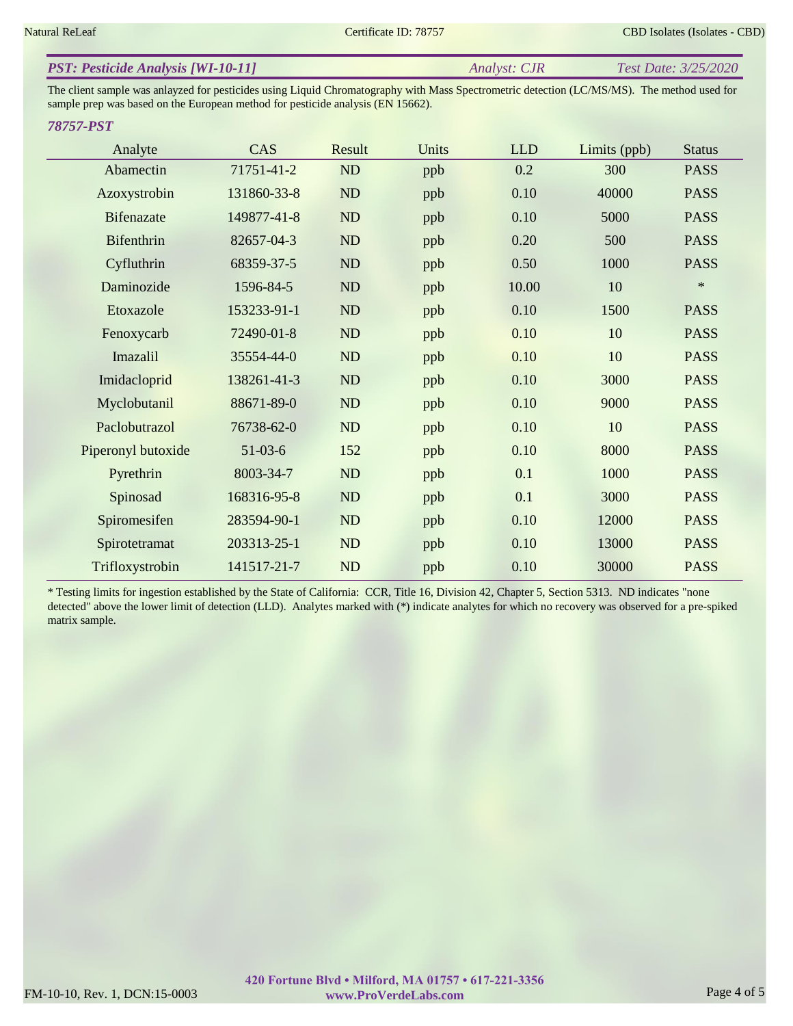| <b>PST: Pesticide Analysis [WI-10-11]</b> | Analyst: CJR | Test Date: 3/25/2020 |
|-------------------------------------------|--------------|----------------------|
|                                           |              |                      |

The client sample was anlayzed for pesticides using Liquid Chromatography with Mass Spectrometric detection (LC/MS/MS). The method used for sample prep was based on the European method for pesticide analysis (EN 15662).

#### *78757-PST*

| Analyte            | CAS         | Result | Units | <b>LLD</b> | Limits (ppb) | <b>Status</b> |
|--------------------|-------------|--------|-------|------------|--------------|---------------|
| Abamectin          | 71751-41-2  | ND     | ppb   | 0.2        | 300          | <b>PASS</b>   |
| Azoxystrobin       | 131860-33-8 | ND     | ppb   | 0.10       | 40000        | <b>PASS</b>   |
| <b>Bifenazate</b>  | 149877-41-8 | ND     | ppb   | 0.10       | 5000         | <b>PASS</b>   |
| Bifenthrin         | 82657-04-3  | ND     | ppb   | 0.20       | 500          | <b>PASS</b>   |
| Cyfluthrin         | 68359-37-5  | ND     | ppb   | 0.50       | 1000         | <b>PASS</b>   |
| Daminozide         | 1596-84-5   | ND     | ppb   | 10.00      | 10           | $\ast$        |
| Etoxazole          | 153233-91-1 | ND     | ppb   | 0.10       | 1500         | <b>PASS</b>   |
| Fenoxycarb         | 72490-01-8  | ND     | ppb   | 0.10       | 10           | <b>PASS</b>   |
| Imazalil           | 35554-44-0  | ND     | ppb   | 0.10       | 10           | <b>PASS</b>   |
| Imidacloprid       | 138261-41-3 | ND     | ppb   | 0.10       | 3000         | <b>PASS</b>   |
| Myclobutanil       | 88671-89-0  | ND     | ppb   | 0.10       | 9000         | <b>PASS</b>   |
| Paclobutrazol      | 76738-62-0  | ND     | ppb   | 0.10       | 10           | <b>PASS</b>   |
| Piperonyl butoxide | $51-03-6$   | 152    | ppb   | 0.10       | 8000         | <b>PASS</b>   |
| Pyrethrin          | 8003-34-7   | ND     | ppb   | 0.1        | 1000         | <b>PASS</b>   |
| Spinosad           | 168316-95-8 | ND     | ppb   | 0.1        | 3000         | <b>PASS</b>   |
| Spiromesifen       | 283594-90-1 | ND     | ppb   | 0.10       | 12000        | <b>PASS</b>   |
| Spirotetramat      | 203313-25-1 | ND     | ppb   | 0.10       | 13000        | <b>PASS</b>   |
| Trifloxystrobin    | 141517-21-7 | ND     | ppb   | 0.10       | 30000        | <b>PASS</b>   |

\* Testing limits for ingestion established by the State of California: CCR, Title 16, Division 42, Chapter 5, Section 5313. ND indicates "none detected" above the lower limit of detection (LLD). Analytes marked with (\*) indicate analytes for which no recovery was observed for a pre-spiked matrix sample.